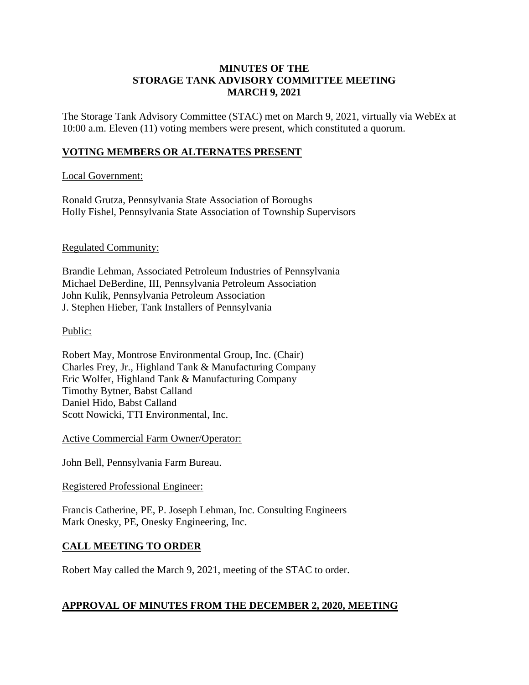### **MINUTES OF THE STORAGE TANK ADVISORY COMMITTEE MEETING MARCH 9, 2021**

The Storage Tank Advisory Committee (STAC) met on March 9, 2021, virtually via WebEx at 10:00 a.m. Eleven (11) voting members were present, which constituted a quorum.

# **VOTING MEMBERS OR ALTERNATES PRESENT**

### Local Government:

Ronald Grutza, Pennsylvania State Association of Boroughs Holly Fishel, Pennsylvania State Association of Township Supervisors

### Regulated Community:

Brandie Lehman, Associated Petroleum Industries of Pennsylvania Michael DeBerdine, III, Pennsylvania Petroleum Association John Kulik, Pennsylvania Petroleum Association J. Stephen Hieber, Tank Installers of Pennsylvania

### Public:

Robert May, Montrose Environmental Group, Inc. (Chair) Charles Frey, Jr., Highland Tank & Manufacturing Company Eric Wolfer, Highland Tank & Manufacturing Company Timothy Bytner, Babst Calland Daniel Hido, Babst Calland Scott Nowicki, TTI Environmental, Inc.

Active Commercial Farm Owner/Operator:

John Bell, Pennsylvania Farm Bureau.

#### Registered Professional Engineer:

Francis Catherine, PE, P. Joseph Lehman, Inc. Consulting Engineers Mark Onesky, PE, Onesky Engineering, Inc.

# **CALL MEETING TO ORDER**

Robert May called the March 9, 2021, meeting of the STAC to order.

# **APPROVAL OF MINUTES FROM THE DECEMBER 2, 2020, MEETING**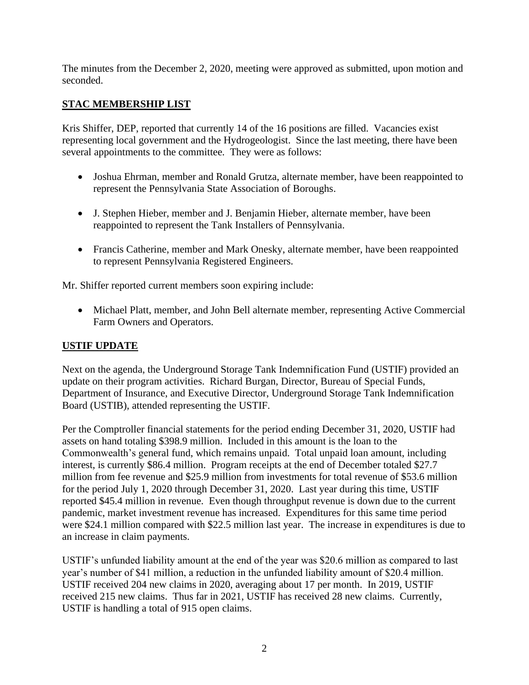The minutes from the December 2, 2020, meeting were approved as submitted, upon motion and seconded.

# **STAC MEMBERSHIP LIST**

Kris Shiffer, DEP, reported that currently 14 of the 16 positions are filled. Vacancies exist representing local government and the Hydrogeologist. Since the last meeting, there have been several appointments to the committee. They were as follows:

- Joshua Ehrman, member and Ronald Grutza, alternate member, have been reappointed to represent the Pennsylvania State Association of Boroughs.
- J. Stephen Hieber, member and J. Benjamin Hieber, alternate member, have been reappointed to represent the Tank Installers of Pennsylvania.
- Francis Catherine, member and Mark Onesky, alternate member, have been reappointed to represent Pennsylvania Registered Engineers.

Mr. Shiffer reported current members soon expiring include:

• Michael Platt, member, and John Bell alternate member, representing Active Commercial Farm Owners and Operators.

# **USTIF UPDATE**

Next on the agenda, the Underground Storage Tank Indemnification Fund (USTIF) provided an update on their program activities. Richard Burgan, Director, Bureau of Special Funds, Department of Insurance, and Executive Director, Underground Storage Tank Indemnification Board (USTIB), attended representing the USTIF.

Per the Comptroller financial statements for the period ending December 31, 2020, USTIF had assets on hand totaling \$398.9 million. Included in this amount is the loan to the Commonwealth's general fund, which remains unpaid. Total unpaid loan amount, including interest, is currently \$86.4 million. Program receipts at the end of December totaled \$27.7 million from fee revenue and \$25.9 million from investments for total revenue of \$53.6 million for the period July 1, 2020 through December 31, 2020. Last year during this time, USTIF reported \$45.4 million in revenue. Even though throughput revenue is down due to the current pandemic, market investment revenue has increased. Expenditures for this same time period were \$24.1 million compared with \$22.5 million last year. The increase in expenditures is due to an increase in claim payments.

USTIF's unfunded liability amount at the end of the year was \$20.6 million as compared to last year's number of \$41 million, a reduction in the unfunded liability amount of \$20.4 million. USTIF received 204 new claims in 2020, averaging about 17 per month. In 2019, USTIF received 215 new claims. Thus far in 2021, USTIF has received 28 new claims. Currently, USTIF is handling a total of 915 open claims.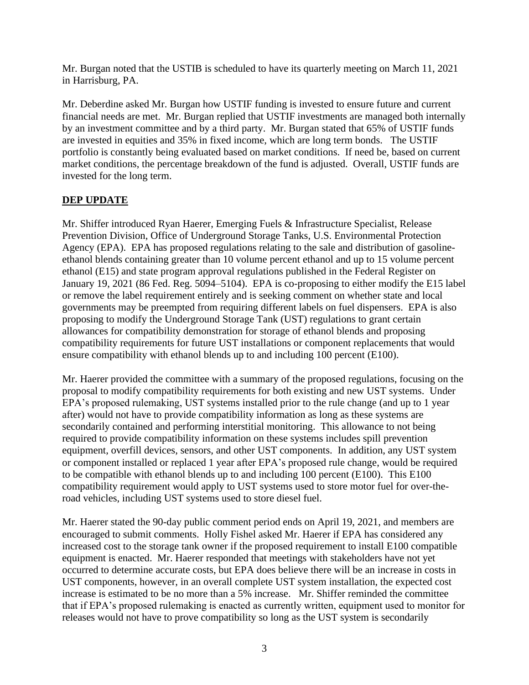Mr. Burgan noted that the USTIB is scheduled to have its quarterly meeting on March 11, 2021 in Harrisburg, PA.

Mr. Deberdine asked Mr. Burgan how USTIF funding is invested to ensure future and current financial needs are met. Mr. Burgan replied that USTIF investments are managed both internally by an investment committee and by a third party. Mr. Burgan stated that 65% of USTIF funds are invested in equities and 35% in fixed income, which are long term bonds. The USTIF portfolio is constantly being evaluated based on market conditions. If need be, based on current market conditions, the percentage breakdown of the fund is adjusted. Overall, USTIF funds are invested for the long term.

# **DEP UPDATE**

Mr. Shiffer introduced Ryan Haerer, Emerging Fuels & Infrastructure Specialist, Release Prevention Division, Office of Underground Storage Tanks, U.S. Environmental Protection Agency (EPA). EPA has proposed regulations relating to the sale and distribution of gasolineethanol blends containing greater than 10 volume percent ethanol and up to 15 volume percent ethanol (E15) and state program approval regulations published in the Federal Register on January 19, 2021 (86 Fed. Reg. 5094–5104). EPA is co-proposing to either modify the E15 label or remove the label requirement entirely and is seeking comment on whether state and local governments may be preempted from requiring different labels on fuel dispensers. EPA is also proposing to modify the Underground Storage Tank (UST) regulations to grant certain allowances for compatibility demonstration for storage of ethanol blends and proposing compatibility requirements for future UST installations or component replacements that would ensure compatibility with ethanol blends up to and including 100 percent (E100).

Mr. Haerer provided the committee with a summary of the proposed regulations, focusing on the proposal to modify compatibility requirements for both existing and new UST systems. Under EPA's proposed rulemaking, UST systems installed prior to the rule change (and up to 1 year after) would not have to provide compatibility information as long as these systems are secondarily contained and performing interstitial monitoring. This allowance to not being required to provide compatibility information on these systems includes spill prevention equipment, overfill devices, sensors, and other UST components. In addition, any UST system or component installed or replaced 1 year after EPA's proposed rule change, would be required to be compatible with ethanol blends up to and including 100 percent (E100). This E100 compatibility requirement would apply to UST systems used to store motor fuel for over-theroad vehicles, including UST systems used to store diesel fuel.

Mr. Haerer stated the 90-day public comment period ends on April 19, 2021, and members are encouraged to submit comments. Holly Fishel asked Mr. Haerer if EPA has considered any increased cost to the storage tank owner if the proposed requirement to install E100 compatible equipment is enacted. Mr. Haerer responded that meetings with stakeholders have not yet occurred to determine accurate costs, but EPA does believe there will be an increase in costs in UST components, however, in an overall complete UST system installation, the expected cost increase is estimated to be no more than a 5% increase. Mr. Shiffer reminded the committee that if EPA's proposed rulemaking is enacted as currently written, equipment used to monitor for releases would not have to prove compatibility so long as the UST system is secondarily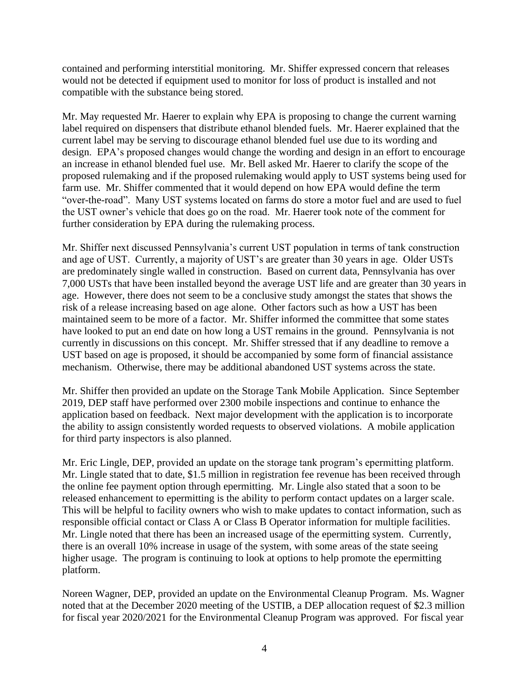contained and performing interstitial monitoring. Mr. Shiffer expressed concern that releases would not be detected if equipment used to monitor for loss of product is installed and not compatible with the substance being stored.

Mr. May requested Mr. Haerer to explain why EPA is proposing to change the current warning label required on dispensers that distribute ethanol blended fuels. Mr. Haerer explained that the current label may be serving to discourage ethanol blended fuel use due to its wording and design. EPA's proposed changes would change the wording and design in an effort to encourage an increase in ethanol blended fuel use. Mr. Bell asked Mr. Haerer to clarify the scope of the proposed rulemaking and if the proposed rulemaking would apply to UST systems being used for farm use. Mr. Shiffer commented that it would depend on how EPA would define the term "over-the-road". Many UST systems located on farms do store a motor fuel and are used to fuel the UST owner's vehicle that does go on the road. Mr. Haerer took note of the comment for further consideration by EPA during the rulemaking process.

Mr. Shiffer next discussed Pennsylvania's current UST population in terms of tank construction and age of UST. Currently, a majority of UST's are greater than 30 years in age. Older USTs are predominately single walled in construction. Based on current data, Pennsylvania has over 7,000 USTs that have been installed beyond the average UST life and are greater than 30 years in age. However, there does not seem to be a conclusive study amongst the states that shows the risk of a release increasing based on age alone. Other factors such as how a UST has been maintained seem to be more of a factor. Mr. Shiffer informed the committee that some states have looked to put an end date on how long a UST remains in the ground. Pennsylvania is not currently in discussions on this concept. Mr. Shiffer stressed that if any deadline to remove a UST based on age is proposed, it should be accompanied by some form of financial assistance mechanism. Otherwise, there may be additional abandoned UST systems across the state.

Mr. Shiffer then provided an update on the Storage Tank Mobile Application. Since September 2019, DEP staff have performed over 2300 mobile inspections and continue to enhance the application based on feedback. Next major development with the application is to incorporate the ability to assign consistently worded requests to observed violations. A mobile application for third party inspectors is also planned.

Mr. Eric Lingle, DEP, provided an update on the storage tank program's epermitting platform. Mr. Lingle stated that to date, \$1.5 million in registration fee revenue has been received through the online fee payment option through epermitting. Mr. Lingle also stated that a soon to be released enhancement to epermitting is the ability to perform contact updates on a larger scale. This will be helpful to facility owners who wish to make updates to contact information, such as responsible official contact or Class A or Class B Operator information for multiple facilities. Mr. Lingle noted that there has been an increased usage of the epermitting system. Currently, there is an overall 10% increase in usage of the system, with some areas of the state seeing higher usage. The program is continuing to look at options to help promote the epermitting platform.

Noreen Wagner, DEP, provided an update on the Environmental Cleanup Program. Ms. Wagner noted that at the December 2020 meeting of the USTIB, a DEP allocation request of \$2.3 million for fiscal year 2020/2021 for the Environmental Cleanup Program was approved. For fiscal year